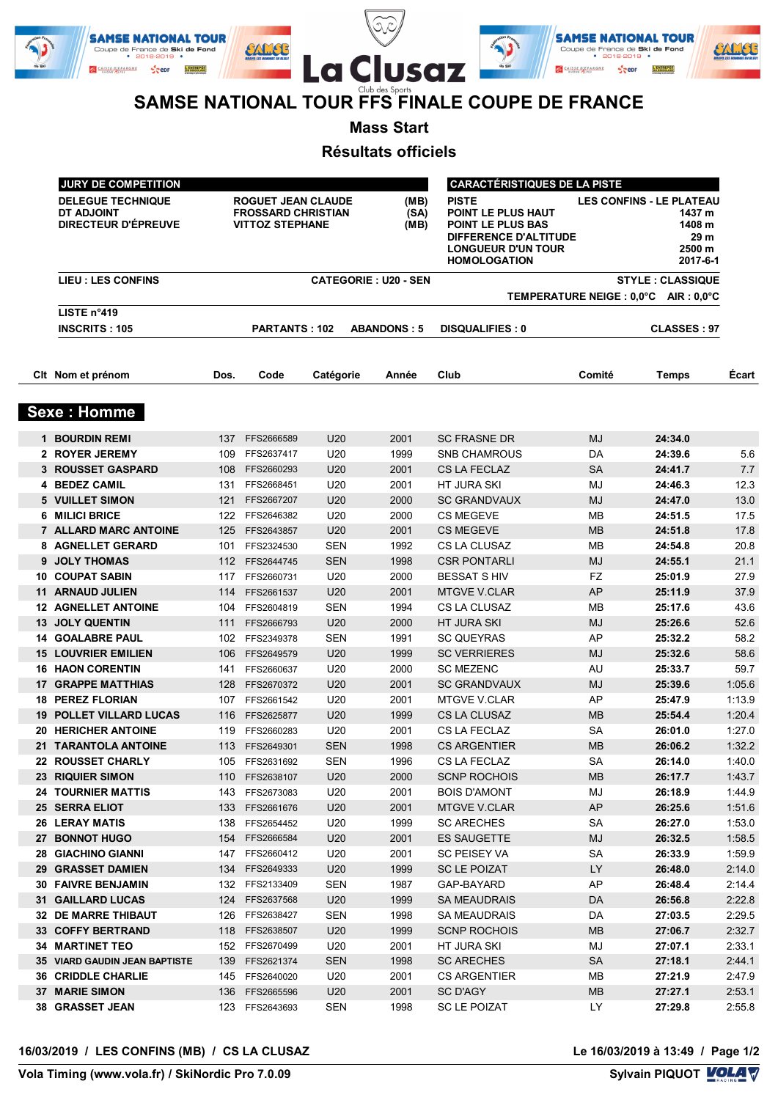|        | <b>SAMSE NATIONAL TOUR</b><br>Coupe de France de Ski de Fond          | $\sim$<br>$\check{ }$                          |        | <b>SAMSE NATIONAL TOUR</b><br>Coupe de France de Ski de Fond      |  |
|--------|-----------------------------------------------------------------------|------------------------------------------------|--------|-------------------------------------------------------------------|--|
| de Ski | $• 2018-2019$<br>L'ENTREPOT<br><b>CAISSE D'EPARGNI</b><br><b>Sepr</b> | La Clusaz                                      | de Ski | $• 2018-2019$ $•$<br><b>L'ENTREPOT</b><br><b>CAISSE D'EPARGNE</b> |  |
|        |                                                                       | Club des Sports                                |        |                                                                   |  |
|        |                                                                       | SAMSE NATIONAL TOUR FFS FINALE COUPE DE FRANCE |        |                                                                   |  |

**Mass Start**

**Résultats officiels**

| <b>JURY DE COMPETITION</b>                                    |                                                                                  |                      |                      |                                                                                                                                      | <b>CARACTÉRISTIQUES DE LA PISTE</b> |                                                                                   |                                       |        |
|---------------------------------------------------------------|----------------------------------------------------------------------------------|----------------------|----------------------|--------------------------------------------------------------------------------------------------------------------------------------|-------------------------------------|-----------------------------------------------------------------------------------|---------------------------------------|--------|
| <b>DELEGUE TECHNIQUE</b><br>DT ADJOINT<br>DIRECTEUR D'ÉPREUVE | <b>ROGUET JEAN CLAUDE</b><br><b>FROSSARD CHRISTIAN</b><br><b>VITTOZ STEPHANE</b> |                      | (MB)<br>(SA)<br>(MB) | <b>PISTE</b><br>POINT LE PLUS HAUT<br>POINT LE PLUS BAS<br>DIFFERENCE D'ALTITUDE<br><b>LONGUEUR D'UN TOUR</b><br><b>HOMOLOGATION</b> |                                     | <b>LES CONFINS - LE PLATEAU</b><br>1437 m<br>1408 m<br>29 m<br>2500 m<br>2017-6-1 |                                       |        |
| <b>LIEU : LES CONFINS</b>                                     | <b>CATEGORIE: U20 - SEN</b>                                                      |                      |                      |                                                                                                                                      |                                     | <b>STYLE: CLASSIQUE</b>                                                           |                                       |        |
|                                                               |                                                                                  |                      |                      |                                                                                                                                      |                                     |                                                                                   | TEMPERATURE NEIGE : 0,0°C AIR : 0,0°C |        |
| LISTE n°419                                                   |                                                                                  |                      |                      |                                                                                                                                      |                                     |                                                                                   |                                       |        |
| <b>INSCRITS: 105</b>                                          |                                                                                  | <b>PARTANTS: 102</b> |                      | <b>ABANDONS: 5</b>                                                                                                                   | <b>DISQUALIFIES: 0</b>              |                                                                                   | <b>CLASSES: 97</b>                    |        |
| Cit Nom et prénom                                             | Dos.                                                                             | Code                 | Catégorie            | Année                                                                                                                                | Club                                | Comité                                                                            | <b>Temps</b>                          | Ecart  |
| <b>Sexe: Homme</b>                                            |                                                                                  |                      |                      |                                                                                                                                      |                                     |                                                                                   |                                       |        |
| <b>1 BOURDIN REMI</b>                                         |                                                                                  | 137 FFS2666589       | U20                  | 2001                                                                                                                                 | <b>SC FRASNE DR</b>                 | <b>MJ</b>                                                                         | 24:34.0                               |        |
| 2 ROYER JEREMY                                                | 109                                                                              | FFS2637417           | U20                  | 1999                                                                                                                                 | <b>SNB CHAMROUS</b>                 | DA                                                                                | 24:39.6                               | 5.6    |
| <b>3 ROUSSET GASPARD</b>                                      |                                                                                  | 108 FFS2660293       | U20                  | 2001                                                                                                                                 | <b>CS LA FECLAZ</b>                 | <b>SA</b>                                                                         | 24:41.7                               | 7.7    |
| 4 BEDEZ CAMIL                                                 |                                                                                  | 131 FFS2668451       | U20                  | 2001                                                                                                                                 | <b>HT JURA SKI</b>                  | MJ                                                                                | 24:46.3                               | 12.3   |
| <b>5 VUILLET SIMON</b>                                        |                                                                                  | 121 FFS2667207       | U20                  | 2000                                                                                                                                 | <b>SC GRANDVAUX</b>                 | <b>MJ</b>                                                                         | 24:47.0                               | 13.0   |
| 6 MILICI BRICE                                                |                                                                                  | 122 FFS2646382       | U20                  | 2000                                                                                                                                 | <b>CS MEGEVE</b>                    | <b>MB</b>                                                                         | 24:51.5                               | 17.5   |
| 7 ALLARD MARC ANTOINE                                         |                                                                                  | 125 FFS2643857       | U20                  | 2001                                                                                                                                 | <b>CS MEGEVE</b>                    | <b>MB</b>                                                                         | 24:51.8                               | 17.8   |
| 8 AGNELLET GERARD                                             |                                                                                  | 101 FFS2324530       | <b>SEN</b>           | 1992                                                                                                                                 | CS LA CLUSAZ                        | <b>MB</b>                                                                         | 24:54.8                               | 20.8   |
| 9 JOLY THOMAS                                                 |                                                                                  | 112 FFS2644745       | <b>SEN</b>           | 1998                                                                                                                                 | <b>CSR PONTARLI</b>                 | MJ                                                                                | 24:55.1                               | 21.1   |
| <b>10 COUPAT SABIN</b>                                        |                                                                                  | 117 FFS2660731       | U20                  | 2000                                                                                                                                 | <b>BESSAT S HIV</b>                 | FZ                                                                                | 25:01.9                               | 27.9   |
| 11 ARNAUD JULIEN                                              |                                                                                  | 114 FFS2661537       | U20                  | 2001                                                                                                                                 | <b>MTGVE V.CLAR</b>                 | AP                                                                                | 25:11.9                               | 37.9   |
| <b>12 AGNELLET ANTOINE</b>                                    | 104                                                                              | FFS2604819           | <b>SEN</b>           | 1994                                                                                                                                 | CS LA CLUSAZ                        | MВ                                                                                | 25:17.6                               | 43.6   |
| 13 JOLY QUENTIN                                               | 111                                                                              | FFS2666793           | U20                  | 2000                                                                                                                                 | <b>HT JURA SKI</b>                  | <b>MJ</b>                                                                         | 25:26.6                               | 52.6   |
| <b>14 GOALABRE PAUL</b>                                       | 102                                                                              | FFS2349378           | <b>SEN</b>           | 1991                                                                                                                                 | <b>SC QUEYRAS</b>                   | AP                                                                                | 25:32.2                               | 58.2   |
| <b>15 LOUVRIER EMILIEN</b>                                    | 106                                                                              | FFS2649579           | U20                  | 1999                                                                                                                                 | <b>SC VERRIERES</b>                 | <b>MJ</b>                                                                         | 25:32.6                               | 58.6   |
| <b>16 HAON CORENTIN</b>                                       | 141                                                                              | FFS2660637           | U20                  | 2000                                                                                                                                 | <b>SC MEZENC</b>                    | AU                                                                                | 25:33.7                               | 59.7   |
| <b>17 GRAPPE MATTHIAS</b>                                     | 128                                                                              | FFS2670372           | U20                  | 2001                                                                                                                                 | <b>SC GRANDVAUX</b>                 | <b>MJ</b>                                                                         | 25:39.6                               | 1:05.6 |
| <b>18 PEREZ FLORIAN</b>                                       | 107                                                                              | FFS2661542           | U20                  | 2001                                                                                                                                 | <b>MTGVE V.CLAR</b>                 | AP                                                                                | 25:47.9                               | 1:13.9 |
| <b>19 POLLET VILLARD LUCAS</b>                                | 116                                                                              | FFS2625877           | U20                  | 1999                                                                                                                                 | CS LA CLUSAZ                        | <b>MB</b>                                                                         | 25:54.4                               | 1:20.4 |
| <b>20 HERICHER ANTOINE</b>                                    | 119                                                                              | FFS2660283           | U20                  | 2001                                                                                                                                 | CS LA FECLAZ                        | SA                                                                                | 26:01.0                               | 1:27.0 |
| 21 TARANTOLA ANTOINE                                          |                                                                                  | 113 FFS2649301       | <b>SEN</b>           | 1998                                                                                                                                 | <b>CS ARGENTIER</b>                 | <b>MB</b>                                                                         | 26:06.2                               | 1:32.2 |
| 22 ROUSSET CHARLY                                             | 105                                                                              | FFS2631692           | <b>SEN</b>           | 1996                                                                                                                                 | CS LA FECLAZ                        | <b>SA</b>                                                                         | 26:14.0                               | 1:40.0 |
| 23 RIQUIER SIMON                                              |                                                                                  | 110 FFS2638107       | U20                  | 2000                                                                                                                                 | <b>SCNP ROCHOIS</b>                 | <b>MB</b>                                                                         | 26:17.7                               | 1:43.7 |
| <b>24 TOURNIER MATTIS</b>                                     |                                                                                  | 143 FFS2673083       | U20                  | 2001                                                                                                                                 | <b>BOIS D'AMONT</b>                 | MJ                                                                                | 26:18.9                               | 1:44.9 |
| <b>25 SERRA ELIOT</b>                                         |                                                                                  | 133 FFS2661676       | U <sub>20</sub>      | 2001                                                                                                                                 | <b>MTGVE V.CLAR</b>                 | AP                                                                                | 26:25.6                               | 1:51.6 |
| <b>26 LERAY MATIS</b>                                         |                                                                                  | 138 FFS2654452       | U20                  | 1999                                                                                                                                 | <b>SC ARECHES</b>                   | <b>SA</b>                                                                         | 26:27.0                               | 1:53.0 |
| 27 BONNOT HUGO                                                |                                                                                  | 154 FFS2666584       | U <sub>20</sub>      | 2001                                                                                                                                 | <b>ES SAUGETTE</b>                  | MJ                                                                                | 26:32.5                               | 1:58.5 |
| <b>28 GIACHINO GIANNI</b>                                     |                                                                                  | 147 FFS2660412       | U20                  | 2001                                                                                                                                 | <b>SC PEISEY VA</b>                 | SA                                                                                | 26:33.9                               | 1:59.9 |
| 29 GRASSET DAMIEN                                             |                                                                                  | 134 FFS2649333       | U20                  | 1999                                                                                                                                 | SC LE POIZAT                        | LY.                                                                               | 26:48.0                               | 2:14.0 |
| <b>30 FAIVRE BENJAMIN</b>                                     |                                                                                  | 132 FFS2133409       | <b>SEN</b>           | 1987                                                                                                                                 | GAP-BAYARD                          | AP                                                                                | 26:48.4                               | 2:14.4 |
| <b>31 GAILLARD LUCAS</b>                                      |                                                                                  | 124 FFS2637568       | U20                  | 1999                                                                                                                                 | <b>SA MEAUDRAIS</b>                 | DA                                                                                | 26:56.8                               | 2:22.8 |
| 32 DE MARRE THIBAUT                                           |                                                                                  | 126 FFS2638427       | <b>SEN</b>           | 1998                                                                                                                                 | <b>SA MEAUDRAIS</b>                 | DA                                                                                | 27:03.5                               | 2:29.5 |
| 33 COFFY BERTRAND                                             |                                                                                  | 118 FFS2638507       | U20                  | 1999                                                                                                                                 | <b>SCNP ROCHOIS</b>                 | <b>MB</b>                                                                         | 27:06.7                               | 2:32.7 |
| <b>34 MARTINET TEO</b>                                        |                                                                                  | 152 FFS2670499       | U20                  | 2001                                                                                                                                 | HT JURA SKI                         | MJ                                                                                | 27:07.1                               | 2:33.1 |
| 35 VIARD GAUDIN JEAN BAPTISTE                                 | 139                                                                              | FFS2621374           | <b>SEN</b>           | 1998                                                                                                                                 | <b>SC ARECHES</b>                   | SA                                                                                | 27:18.1                               | 2:44.1 |
| <b>36 CRIDDLE CHARLIE</b>                                     |                                                                                  | 145 FFS2640020       | U20                  | 2001                                                                                                                                 | <b>CS ARGENTIER</b>                 | MВ                                                                                | 27:21.9                               | 2:47.9 |
| <b>37 MARIE SIMON</b>                                         |                                                                                  | 136 FFS2665596       | U20                  | 2001                                                                                                                                 | SC D'AGY                            | MB                                                                                | 27:27.1                               | 2:53.1 |
| 38 GRASSET JEAN                                               | 123                                                                              | FFS2643693           | SEN                  | 1998                                                                                                                                 | <b>SC LE POIZAT</b>                 | LY                                                                                | 27:29.8                               | 2:55.8 |